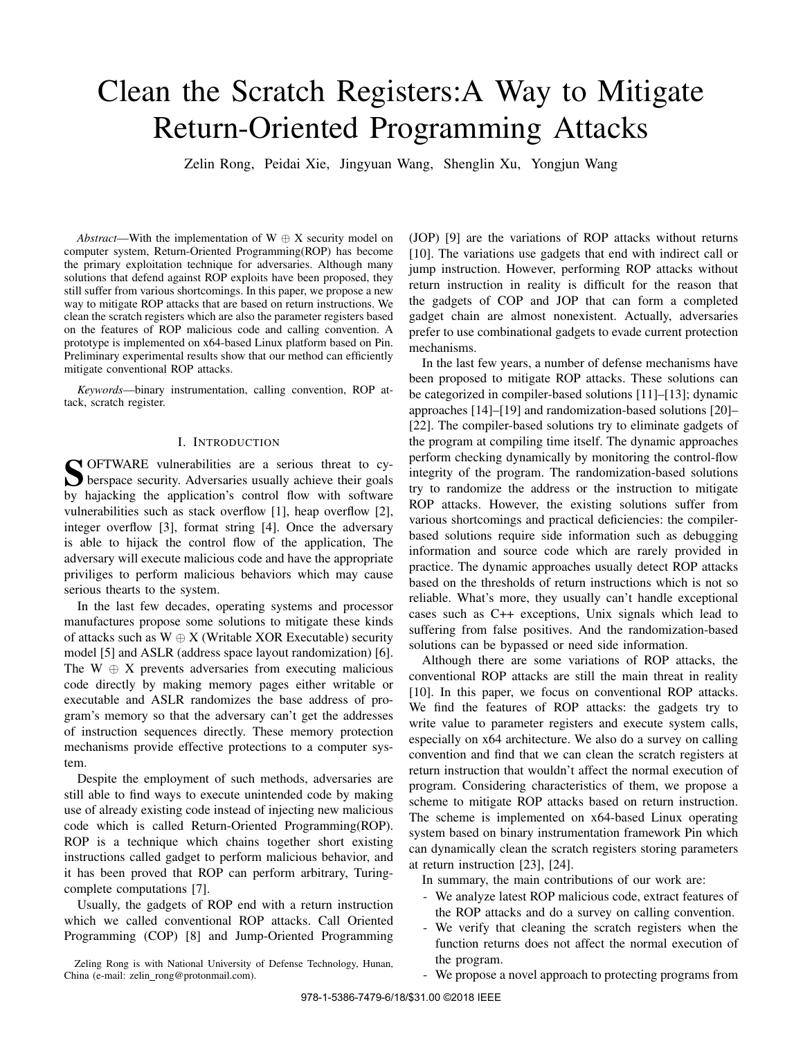# Clean the Scratch Registers:A Way to Mitigate Return-Oriented Programming Attacks

Zelin Rong, Peidai Xie, Jingyuan Wang, Shenglin Xu, Yongjun Wang

*Abstract*—With the implementation of W *⊕* X security model on computer system, Return-Oriented Programming(ROP) has become the primary exploitation technique for adversaries. Although many solutions that defend against ROP exploits have been proposed, they still suffer from various shortcomings. In this paper, we propose a new way to mitigate ROP attacks that are based on return instructions. We clean the scratch registers which are also the parameter registers based on the features of ROP malicious code and calling convention. A prototype is implemented on x64-based Linux platform based on Pin. Preliminary experimental results show that our method can efficiently mitigate conventional ROP attacks.

*Keywords*—binary instrumentation, calling convention, ROP attack, scratch register.

#### I. INTRODUCTION

S OFTWARE vulnerabilities are a serious threat to cy-<br>berspace security. Adversaries usually achieve their goals **berspace security.** Adversaries usually achieve their goals by hajacking the application's control flow with software vulnerabilities such as stack overflow [1], heap overflow [2], integer overflow [3], format string [4]. Once the adversary is able to hijack the control flow of the application, The adversary will execute malicious code and have the appropriate priviliges to perform malicious behaviors which may cause serious thearts to the system.

In the last few decades, operating systems and processor manufactures propose some solutions to mitigate these kinds of attacks such as W *⊕* X (Writable XOR Executable) security model [5] and ASLR (address space layout randomization) [6]. The W *⊕* X prevents adversaries from executing malicious code directly by making memory pages either writable or executable and ASLR randomizes the base address of program's memory so that the adversary can't get the addresses of instruction sequences directly. These memory protection mechanisms provide effective protections to a computer system.

Despite the employment of such methods, adversaries are still able to find ways to execute unintended code by making use of already existing code instead of injecting new malicious code which is called Return-Oriented Programming(ROP). ROP is a technique which chains together short existing instructions called gadget to perform malicious behavior, and it has been proved that ROP can perform arbitrary, Turingcomplete computations [7].

Usually, the gadgets of ROP end with a return instruction which we called conventional ROP attacks. Call Oriented Programming (COP) [8] and Jump-Oriented Programming

Zeling Rong is with National University of Defense Technology, Hunan, China (e-mail: zelin\_rong@protonmail.com).

(JOP) [9] are the variations of ROP attacks without returns [10]. The variations use gadgets that end with indirect call or jump instruction. However, performing ROP attacks without return instruction in reality is difficult for the reason that the gadgets of COP and JOP that can form a completed gadget chain are almost nonexistent. Actually, adversaries prefer to use combinational gadgets to evade current protection mechanisms.

In the last few years, a number of defense mechanisms have been proposed to mitigate ROP attacks. These solutions can be categorized in compiler-based solutions [11]–[13]; dynamic approaches [14]–[19] and randomization-based solutions [20]– [22]. The compiler-based solutions try to eliminate gadgets of the program at compiling time itself. The dynamic approaches perform checking dynamically by monitoring the control-flow integrity of the program. The randomization-based solutions try to randomize the address or the instruction to mitigate ROP attacks. However, the existing solutions suffer from various shortcomings and practical deficiencies: the compilerbased solutions require side information such as debugging information and source code which are rarely provided in practice. The dynamic approaches usually detect ROP attacks based on the thresholds of return instructions which is not so reliable. What's more, they usually can't handle exceptional cases such as C++ exceptions, Unix signals which lead to suffering from false positives. And the randomization-based solutions can be bypassed or need side information.

Although there are some variations of ROP attacks, the conventional ROP attacks are still the main threat in reality [10]. In this paper, we focus on conventional ROP attacks. We find the features of ROP attacks: the gadgets try to write value to parameter registers and execute system calls, especially on x64 architecture. We also do a survey on calling convention and find that we can clean the scratch registers at return instruction that wouldn't affect the normal execution of program. Considering characteristics of them, we propose a scheme to mitigate ROP attacks based on return instruction. The scheme is implemented on x64-based Linux operating system based on binary instrumentation framework Pin which can dynamically clean the scratch registers storing parameters at return instruction [23], [24].

In summary, the main contributions of our work are:

- We analyze latest ROP malicious code, extract features of the ROP attacks and do a survey on calling convention.
- We verify that cleaning the scratch registers when the function returns does not affect the normal execution of the program.
- We propose a novel approach to protecting programs from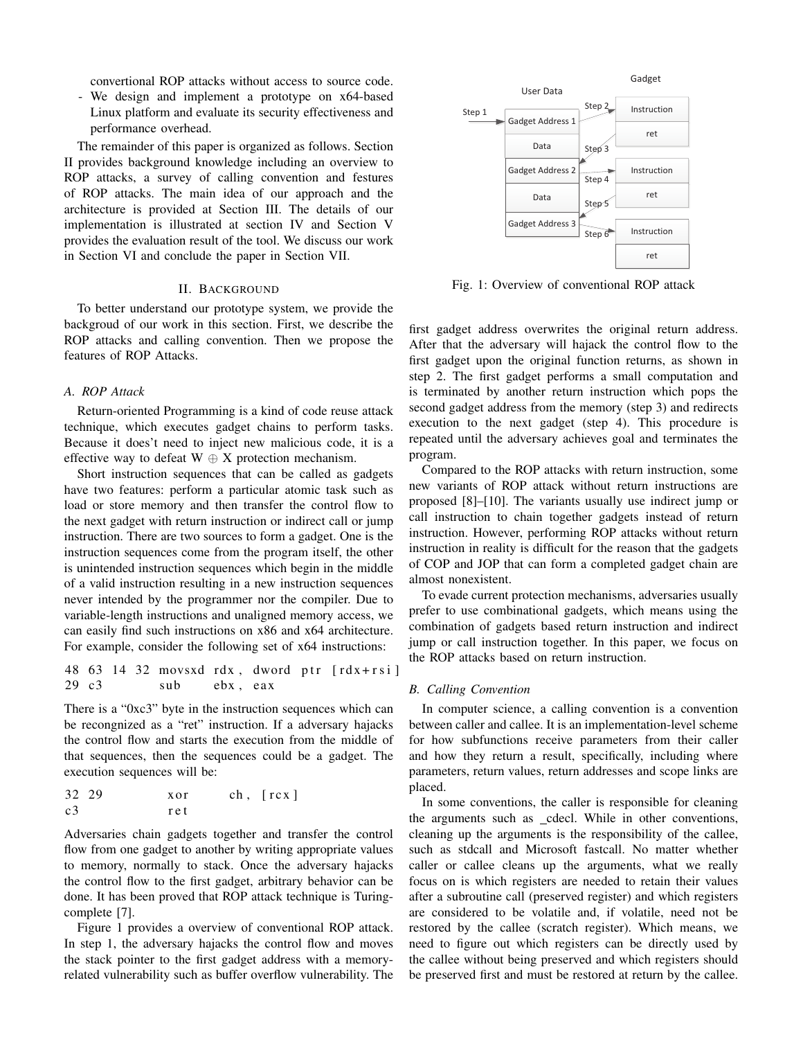convertional ROP attacks without access to source code.

- We design and implement a prototype on x64-based Linux platform and evaluate its security effectiveness and performance overhead.

The remainder of this paper is organized as follows. Section II provides background knowledge including an overview to ROP attacks, a survey of calling convention and festures of ROP attacks. The main idea of our approach and the architecture is provided at Section III. The details of our implementation is illustrated at section IV and Section V provides the evaluation result of the tool. We discuss our work in Section VI and conclude the paper in Section VII.

## II. BACKGROUND

To better understand our prototype system, we provide the backgroud of our work in this section. First, we describe the ROP attacks and calling convention. Then we propose the features of ROP Attacks.

## *A. ROP Attack*

Return-oriented Programming is a kind of code reuse attack technique, which executes gadget chains to perform tasks. Because it does't need to inject new malicious code, it is a effective way to defeat W *⊕* X protection mechanism.

Short instruction sequences that can be called as gadgets have two features: perform a particular atomic task such as load or store memory and then transfer the control flow to the next gadget with return instruction or indirect call or jump instruction. There are two sources to form a gadget. One is the instruction sequences come from the program itself, the other is unintended instruction sequences which begin in the middle of a valid instruction resulting in a new instruction sequences never intended by the programmer nor the compiler. Due to variable-length instructions and unaligned memory access, we can easily find such instructions on x86 and x64 architecture. For example, consider the following set of x64 instructions:

```
48 63 14 32 movsxd rdx, dword ptr [rdx + rsi]29 \text{ c}3 sub \text{e}bx, \text{e}ax
```
There is a "0xc3" byte in the instruction sequences which can be recongnized as a "ret" instruction. If a adversary hajacks the control flow and starts the execution from the middle of that sequences, then the sequences could be a gadget. The execution sequences will be:

$$
32 29 \t x or \t ch, [rcx]c3 \t ret
$$

Adversaries chain gadgets together and transfer the control flow from one gadget to another by writing appropriate values to memory, normally to stack. Once the adversary hajacks the control flow to the first gadget, arbitrary behavior can be done. It has been proved that ROP attack technique is Turingcomplete [7].

Figure 1 provides a overview of conventional ROP attack. In step 1, the adversary hajacks the control flow and moves the stack pointer to the first gadget address with a memoryrelated vulnerability such as buffer overflow vulnerability. The



Fig. 1: Overview of conventional ROP attack

first gadget address overwrites the original return address. After that the adversary will hajack the control flow to the first gadget upon the original function returns, as shown in step 2. The first gadget performs a small computation and is terminated by another return instruction which pops the second gadget address from the memory (step 3) and redirects execution to the next gadget (step 4). This procedure is repeated until the adversary achieves goal and terminates the program.

Compared to the ROP attacks with return instruction, some new variants of ROP attack without return instructions are proposed [8]–[10]. The variants usually use indirect jump or call instruction to chain together gadgets instead of return instruction. However, performing ROP attacks without return instruction in reality is difficult for the reason that the gadgets of COP and JOP that can form a completed gadget chain are almost nonexistent.

To evade current protection mechanisms, adversaries usually prefer to use combinational gadgets, which means using the combination of gadgets based return instruction and indirect jump or call instruction together. In this paper, we focus on the ROP attacks based on return instruction.

## *B. Calling Convention*

In computer science, a calling convention is a convention between caller and callee. It is an implementation-level scheme for how subfunctions receive parameters from their caller and how they return a result, specifically, including where parameters, return values, return addresses and scope links are placed.

In some conventions, the caller is responsible for cleaning the arguments such as \_cdecl. While in other conventions, cleaning up the arguments is the responsibility of the callee, such as stdcall and Microsoft fastcall. No matter whether caller or callee cleans up the arguments, what we really focus on is which registers are needed to retain their values after a subroutine call (preserved register) and which registers are considered to be volatile and, if volatile, need not be restored by the callee (scratch register). Which means, we need to figure out which registers can be directly used by the callee without being preserved and which registers should be preserved first and must be restored at return by the callee.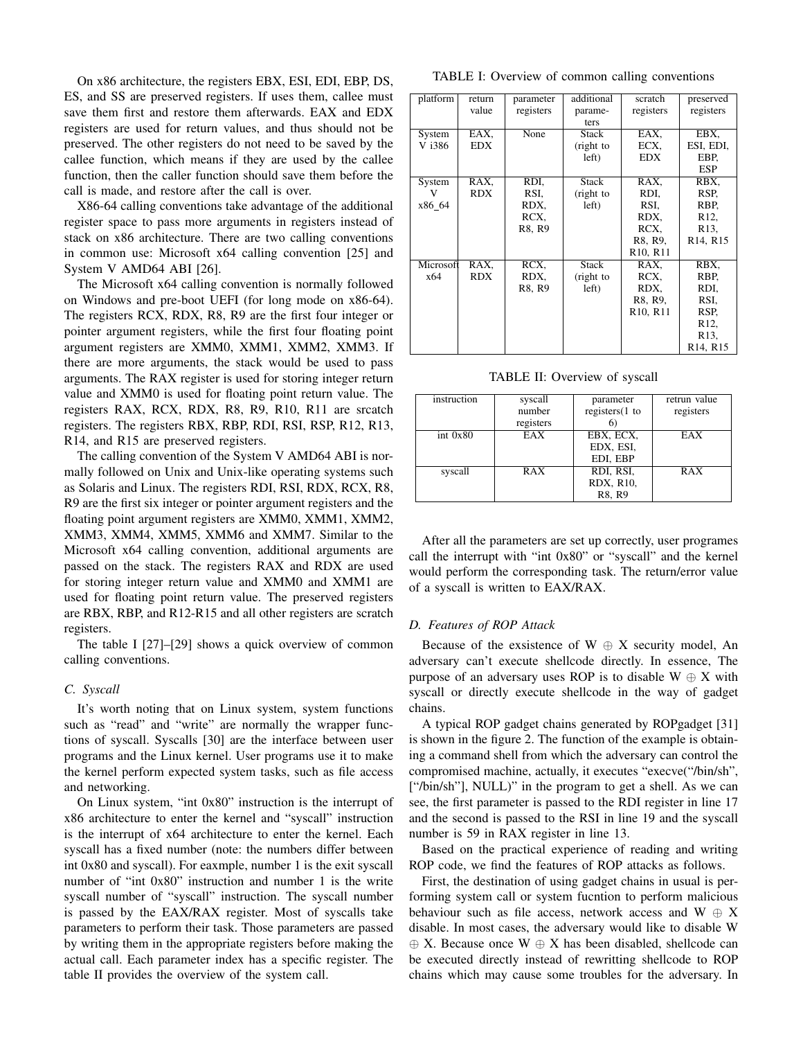On x86 architecture, the registers EBX, ESI, EDI, EBP, DS, ES, and SS are preserved registers. If uses them, callee must save them first and restore them afterwards. EAX and EDX registers are used for return values, and thus should not be preserved. The other registers do not need to be saved by the callee function, which means if they are used by the callee function, then the caller function should save them before the call is made, and restore after the call is over.

X86-64 calling conventions take advantage of the additional register space to pass more arguments in registers instead of stack on x86 architecture. There are two calling conventions in common use: Microsoft x64 calling convention [25] and System V AMD64 ABI [26].

The Microsoft x64 calling convention is normally followed on Windows and pre-boot UEFI (for long mode on x86-64). The registers RCX, RDX, R8, R9 are the first four integer or pointer argument registers, while the first four floating point argument registers are XMM0, XMM1, XMM2, XMM3. If there are more arguments, the stack would be used to pass arguments. The RAX register is used for storing integer return value and XMM0 is used for floating point return value. The registers RAX, RCX, RDX, R8, R9, R10, R11 are srcatch registers. The registers RBX, RBP, RDI, RSI, RSP, R12, R13, R14, and R15 are preserved registers.

The calling convention of the System V AMD64 ABI is normally followed on Unix and Unix-like operating systems such as Solaris and Linux. The registers RDI, RSI, RDX, RCX, R8, R9 are the first six integer or pointer argument registers and the floating point argument registers are XMM0, XMM1, XMM2, XMM3, XMM4, XMM5, XMM6 and XMM7. Similar to the Microsoft x64 calling convention, additional arguments are passed on the stack. The registers RAX and RDX are used for storing integer return value and XMM0 and XMM1 are used for floating point return value. The preserved registers are RBX, RBP, and R12-R15 and all other registers are scratch registers.

The table I [27]–[29] shows a quick overview of common calling conventions.

## *C. Syscall*

It's worth noting that on Linux system, system functions such as "read" and "write" are normally the wrapper functions of syscall. Syscalls [30] are the interface between user programs and the Linux kernel. User programs use it to make the kernel perform expected system tasks, such as file access and networking.

On Linux system, "int 0x80" instruction is the interrupt of x86 architecture to enter the kernel and "syscall" instruction is the interrupt of x64 architecture to enter the kernel. Each syscall has a fixed number (note: the numbers differ between int 0x80 and syscall). For eaxmple, number 1 is the exit syscall number of "int 0x80" instruction and number 1 is the write syscall number of "syscall" instruction. The syscall number is passed by the EAX/RAX register. Most of syscalls take parameters to perform their task. Those parameters are passed by writing them in the appropriate registers before making the actual call. Each parameter index has a specific register. The table II provides the overview of the system call.

TABLE I: Overview of common calling conventions

| platform  | return     | parameter | additional   | scratch                           | preserved                         |
|-----------|------------|-----------|--------------|-----------------------------------|-----------------------------------|
|           | value      | registers | parame-      | registers                         | registers                         |
|           |            |           | ters         |                                   |                                   |
| System    | EAX,       | None      | <b>Stack</b> | EAX,                              | EBX,                              |
| V i386    | <b>EDX</b> |           | (right to    | ECX,                              | ESI, EDI,                         |
|           |            |           | left)        | <b>EDX</b>                        | EBP.                              |
|           |            |           |              |                                   | <b>ESP</b>                        |
| System    | RAX.       | RDI,      | <b>Stack</b> | RAX,                              | RBX,                              |
| V         | <b>RDX</b> | RSI.      | (right to    | RDI.                              | RSP.                              |
| x86 64    |            | RDX,      | left)        | RSI.                              | RBP.                              |
|           |            | RCX,      |              | RDX,                              | R <sub>12</sub>                   |
|           |            | R8, R9    |              | RCX,                              | R <sub>13</sub>                   |
|           |            |           |              | R8, R9,                           | R <sub>14</sub> , R <sub>15</sub> |
|           |            |           |              | R <sub>10</sub> , R <sub>11</sub> |                                   |
| Microsoft | RAX,       | RCX,      | <b>Stack</b> | RAX,                              | RBX,                              |
| x64       | <b>RDX</b> | RDX,      | (right to    | RCX,                              | RBP.                              |
|           |            | R8, R9    | left)        | RDX,                              | RDI,                              |
|           |            |           |              | R8, R9,                           | RSI.                              |
|           |            |           |              | R <sub>10</sub> , R <sub>11</sub> | RSP.                              |
|           |            |           |              |                                   | R <sub>12</sub>                   |
|           |            |           |              |                                   | R <sub>13</sub>                   |
|           |            |           |              |                                   | R <sub>14</sub> , R <sub>15</sub> |

TABLE II: Overview of syscall

| instruction | syscall   | parameter         | retrun value |
|-------------|-----------|-------------------|--------------|
|             | number    | registers $(1$ to | registers    |
|             | registers |                   |              |
| int 0x80    | EAX       |                   | EAX          |
|             |           | EDX, ESI,         |              |
|             |           | EDI, EBP          |              |
| syscall     | RAX       | RDI, RSI,         | RAX          |
|             |           | RDX, R10,         |              |
|             |           | R8, R9            |              |

After all the parameters are set up correctly, user programes call the interrupt with "int 0x80" or "syscall" and the kernel would perform the corresponding task. The return/error value of a syscall is written to EAX/RAX.

## *D. Features of ROP Attack*

Because of the exsistence of W *⊕* X security model, An adversary can't execute shellcode directly. In essence, The purpose of an adversary uses ROP is to disable W *⊕* X with syscall or directly execute shellcode in the way of gadget chains.

A typical ROP gadget chains generated by ROPgadget [31] is shown in the figure 2. The function of the example is obtaining a command shell from which the adversary can control the compromised machine, actually, it executes "execve("/bin/sh", ["/bin/sh"], NULL)" in the program to get a shell. As we can see, the first parameter is passed to the RDI register in line 17 and the second is passed to the RSI in line 19 and the syscall number is 59 in RAX register in line 13.

Based on the practical experience of reading and writing ROP code, we find the features of ROP attacks as follows.

First, the destination of using gadget chains in usual is performing system call or system fucntion to perform malicious behaviour such as file access, network access and W *⊕* X disable. In most cases, the adversary would like to disable W *⊕* X. Because once W *⊕* X has been disabled, shellcode can be executed directly instead of rewritting shellcode to ROP chains which may cause some troubles for the adversary. In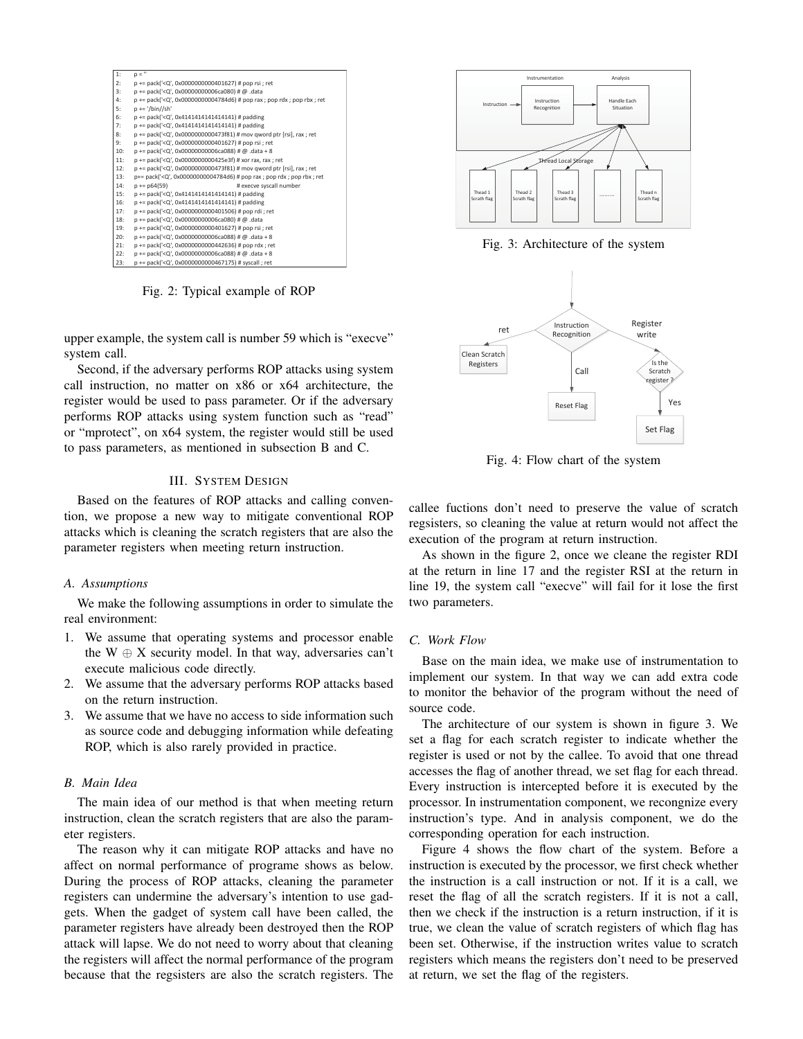| 1:  | $p =$ "                                                                                                        |
|-----|----------------------------------------------------------------------------------------------------------------|
| 2:  | p += pack(' <q', #="" 0x0000000000401627)="" ;="" pop="" ret<="" rsi="" td=""></q',>                           |
| 3:  | p += pack(' <q', #="" .data<="" 0x00000000006ca080)="" @="" td=""></q',>                                       |
| 4:  | p += pack(' <q', #="" 0x00000000004784d6)="" ;="" pop="" rax="" rbx="" rdx="" ret<="" td=""></q',>             |
| 5:  | $p == '/bin//sh'$                                                                                              |
| 6:  | p += pack(' <q', #="" 0x4141414141414141)="" padding<="" td=""></q',>                                          |
| 7:  | p += pack(' <q', #="" 0x4141414141414141)="" padding<="" td=""></q',>                                          |
| 8:  | p += pack(' <q', #="" 0x0000000000473f81)="" ;="" [rsi],="" mov="" ptr="" qword="" rax="" ret<="" td=""></q',> |
| 9:  | p += pack(' <q', #="" 0x0000000000401627)="" ;="" pop="" ret<="" rsi="" td=""></q',>                           |
| 10: | p += pack(' <q', #="" +="" .data="" 0x00000000006ca088)="" 8<="" @="" td=""></q',>                             |
| 11: | p += pack(' <q', #="" 0x0000000000425e3f)="" ;="" rax="" rax,="" ret<="" td="" xor=""></q',>                   |
| 12: | p += pack(' <q', #="" 0x0000000000473f81)="" ;="" [rsi],="" mov="" ptr="" qword="" rax="" ret<="" td=""></q',> |
| 13: | p+= pack(' <q', #="" 0x00000000004784d6)="" ;="" pop="" rax="" rbx="" rdx="" ret<="" td=""></q',>              |
| 14: | $p == p64(59)$<br># execve syscall number                                                                      |
| 15: | p += pack(' <q', #="" 0x4141414141414141)="" padding<="" td=""></q',>                                          |
| 16: | p += pack(' <q', #="" 0x4141414141414141)="" padding<="" td=""></q',>                                          |
| 17: | p += pack(' <q', #="" 0x0000000000401506)="" ;="" pop="" rdi="" ret<="" td=""></q',>                           |
| 18: | p += pack(' <q', #="" .data<="" 0x0000000006ca080)="" @="" td=""></q',>                                        |
| 19: | p += pack(' <q', #="" 0x0000000000401627)="" ;="" pop="" ret<="" rsi="" td=""></q',>                           |
| 20: | p += pack(' <q', #="" +="" .data="" 0x00000000006ca088)="" 8<="" @="" td=""></q',>                             |
| 21: | p += pack(' <q', #="" 0x0000000000442636)="" ;="" pop="" rdx="" ret<="" td=""></q',>                           |
| 22: | p += pack(' <q', #="" +="" .data="" 0x00000000006ca088)="" 8<="" @="" td=""></q',>                             |
| 23: | p += pack(' <q', #="" 0x0000000000467175)="" :="" ret<="" syscall="" td=""></q',>                              |

Fig. 2: Typical example of ROP

upper example, the system call is number 59 which is "execve" system call.

Second, if the adversary performs ROP attacks using system call instruction, no matter on x86 or x64 architecture, the register would be used to pass parameter. Or if the adversary performs ROP attacks using system function such as "read" or "mprotect", on x64 system, the register would still be used to pass parameters, as mentioned in subsection B and C.

## III. SYSTEM DESIGN

Based on the features of ROP attacks and calling convention, we propose a new way to mitigate conventional ROP attacks which is cleaning the scratch registers that are also the parameter registers when meeting return instruction.

#### *A. Assumptions*

We make the following assumptions in order to simulate the real environment:

- 1. We assume that operating systems and processor enable the  $W \oplus X$  security model. In that way, adversaries can't execute malicious code directly.
- 2. We assume that the adversary performs ROP attacks based on the return instruction.
- 3. We assume that we have no access to side information such as source code and debugging information while defeating ROP, which is also rarely provided in practice.

## *B. Main Idea*

The main idea of our method is that when meeting return instruction, clean the scratch registers that are also the parameter registers.

The reason why it can mitigate ROP attacks and have no affect on normal performance of programe shows as below. During the process of ROP attacks, cleaning the parameter registers can undermine the adversary's intention to use gadgets. When the gadget of system call have been called, the parameter registers have already been destroyed then the ROP attack will lapse. We do not need to worry about that cleaning the registers will affect the normal performance of the program because that the regsisters are also the scratch registers. The



Fig. 3: Architecture of the system



Fig. 4: Flow chart of the system

callee fuctions don't need to preserve the value of scratch regsisters, so cleaning the value at return would not affect the execution of the program at return instruction.

As shown in the figure 2, once we cleane the register RDI at the return in line 17 and the register RSI at the return in line 19, the system call "execve" will fail for it lose the first two parameters.

#### *C. Work Flow*

Base on the main idea, we make use of instrumentation to implement our system. In that way we can add extra code to monitor the behavior of the program without the need of source code.

The architecture of our system is shown in figure 3. We set a flag for each scratch register to indicate whether the register is used or not by the callee. To avoid that one thread accesses the flag of another thread, we set flag for each thread. Every instruction is intercepted before it is executed by the processor. In instrumentation component, we recongnize every instruction's type. And in analysis component, we do the corresponding operation for each instruction.

Figure 4 shows the flow chart of the system. Before a instruction is executed by the processor, we first check whether the instruction is a call instruction or not. If it is a call, we reset the flag of all the scratch registers. If it is not a call, then we check if the instruction is a return instruction, if it is true, we clean the value of scratch registers of which flag has been set. Otherwise, if the instruction writes value to scratch registers which means the registers don't need to be preserved at return, we set the flag of the registers.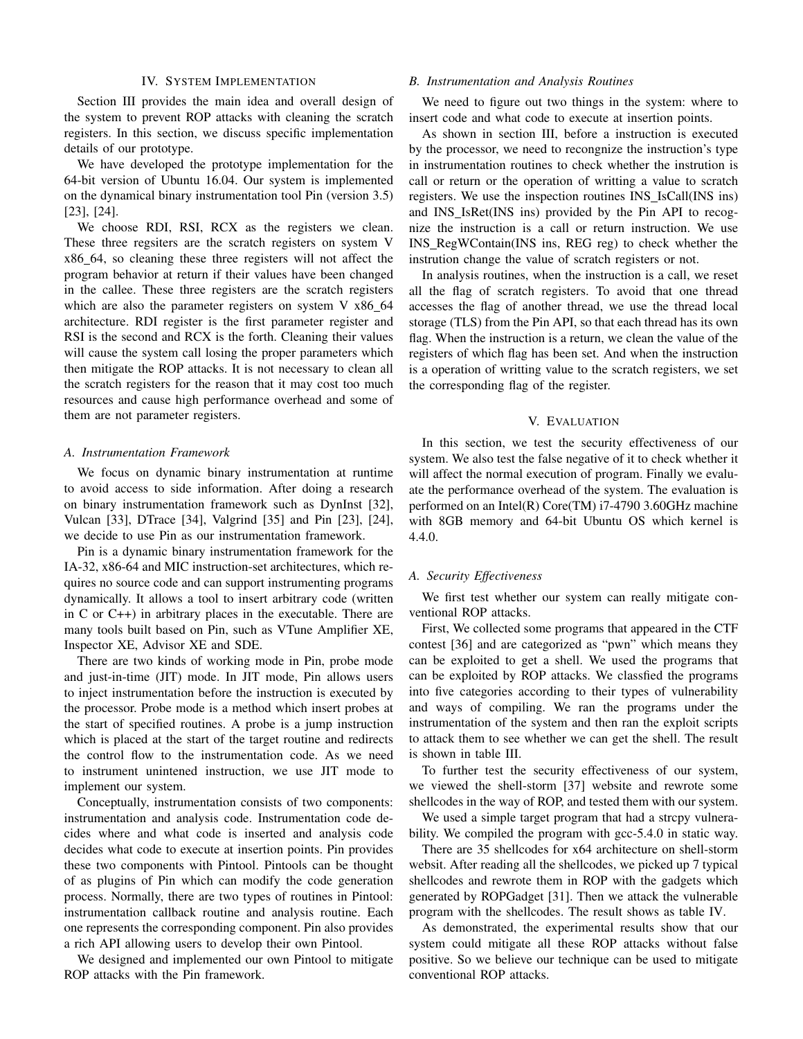## IV. SYSTEM IMPLEMENTATION

Section III provides the main idea and overall design of the system to prevent ROP attacks with cleaning the scratch registers. In this section, we discuss specific implementation details of our prototype.

We have developed the prototype implementation for the 64-bit version of Ubuntu 16.04. Our system is implemented on the dynamical binary instrumentation tool Pin (version 3.5) [23], [24].

We choose RDI, RSI, RCX as the registers we clean. These three regsiters are the scratch registers on system V x86 64, so cleaning these three registers will not affect the program behavior at return if their values have been changed in the callee. These three registers are the scratch registers which are also the parameter registers on system V x86\_64 architecture. RDI register is the first parameter register and RSI is the second and RCX is the forth. Cleaning their values will cause the system call losing the proper parameters which then mitigate the ROP attacks. It is not necessary to clean all the scratch registers for the reason that it may cost too much resources and cause high performance overhead and some of them are not parameter registers.

## *A. Instrumentation Framework*

We focus on dynamic binary instrumentation at runtime to avoid access to side information. After doing a research on binary instrumentation framework such as DynInst [32], Vulcan [33], DTrace [34], Valgrind [35] and Pin [23], [24], we decide to use Pin as our instrumentation framework.

Pin is a dynamic binary instrumentation framework for the IA-32, x86-64 and MIC instruction-set architectures, which requires no source code and can support instrumenting programs dynamically. It allows a tool to insert arbitrary code (written in C or C++) in arbitrary places in the executable. There are many tools built based on Pin, such as VTune Amplifier XE, Inspector XE, Advisor XE and SDE.

There are two kinds of working mode in Pin, probe mode and just-in-time (JIT) mode. In JIT mode, Pin allows users to inject instrumentation before the instruction is executed by the processor. Probe mode is a method which insert probes at the start of specified routines. A probe is a jump instruction which is placed at the start of the target routine and redirects the control flow to the instrumentation code. As we need to instrument unintened instruction, we use JIT mode to implement our system.

Conceptually, instrumentation consists of two components: instrumentation and analysis code. Instrumentation code decides where and what code is inserted and analysis code decides what code to execute at insertion points. Pin provides these two components with Pintool. Pintools can be thought of as plugins of Pin which can modify the code generation process. Normally, there are two types of routines in Pintool: instrumentation callback routine and analysis routine. Each one represents the corresponding component. Pin also provides a rich API allowing users to develop their own Pintool.

We designed and implemented our own Pintool to mitigate ROP attacks with the Pin framework.

#### *B. Instrumentation and Analysis Routines*

We need to figure out two things in the system: where to insert code and what code to execute at insertion points.

As shown in section III, before a instruction is executed by the processor, we need to recongnize the instruction's type in instrumentation routines to check whether the instrution is call or return or the operation of writting a value to scratch registers. We use the inspection routines INS IsCall(INS ins) and INS IsRet(INS ins) provided by the Pin API to recognize the instruction is a call or return instruction. We use INS RegWContain(INS ins, REG reg) to check whether the instrution change the value of scratch registers or not.

In analysis routines, when the instruction is a call, we reset all the flag of scratch registers. To avoid that one thread accesses the flag of another thread, we use the thread local storage (TLS) from the Pin API, so that each thread has its own flag. When the instruction is a return, we clean the value of the registers of which flag has been set. And when the instruction is a operation of writting value to the scratch registers, we set the corresponding flag of the register.

## V. EVALUATION

In this section, we test the security effectiveness of our system. We also test the false negative of it to check whether it will affect the normal execution of program. Finally we evaluate the performance overhead of the system. The evaluation is performed on an Intel(R) Core(TM) i7-4790 3.60GHz machine with 8GB memory and 64-bit Ubuntu OS which kernel is 4.4.0.

## *A. Security Effectiveness*

We first test whether our system can really mitigate conventional ROP attacks.

First, We collected some programs that appeared in the CTF contest [36] and are categorized as "pwn" which means they can be exploited to get a shell. We used the programs that can be exploited by ROP attacks. We classfied the programs into five categories according to their types of vulnerability and ways of compiling. We ran the programs under the instrumentation of the system and then ran the exploit scripts to attack them to see whether we can get the shell. The result is shown in table III.

To further test the security effectiveness of our system, we viewed the shell-storm [37] website and rewrote some shellcodes in the way of ROP, and tested them with our system.

We used a simple target program that had a strepy vulnerability. We compiled the program with gcc-5.4.0 in static way.

There are 35 shellcodes for x64 architecture on shell-storm websit. After reading all the shellcodes, we picked up 7 typical shellcodes and rewrote them in ROP with the gadgets which generated by ROPGadget [31]. Then we attack the vulnerable program with the shellcodes. The result shows as table IV.

As demonstrated, the experimental results show that our system could mitigate all these ROP attacks without false positive. So we believe our technique can be used to mitigate conventional ROP attacks.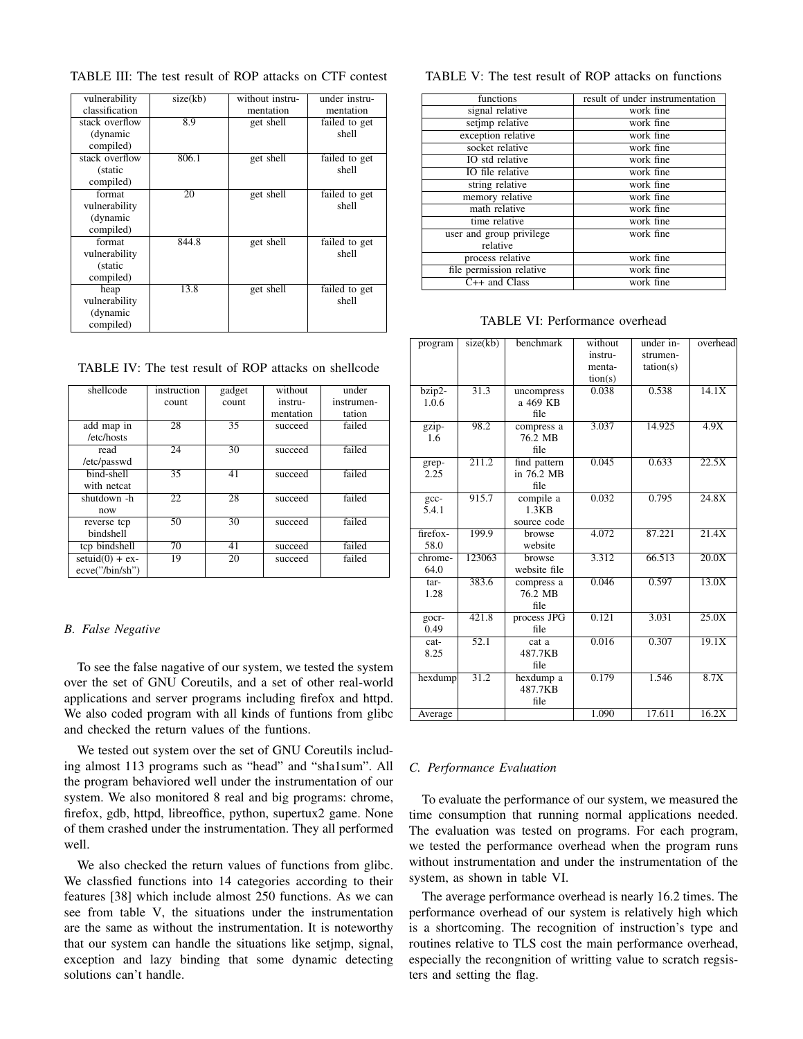TABLE III: The test result of ROP attacks on CTF contest

|                | without instru-<br>size(kb)<br>vulnerability |           | under instru- |
|----------------|----------------------------------------------|-----------|---------------|
| classification |                                              | mentation | mentation     |
| stack overflow | 8.9                                          | get shell | failed to get |
| (dynamic       |                                              |           | shell         |
| compiled)      |                                              |           |               |
| stack overflow | 806.1                                        | get shell | failed to get |
| (static        |                                              |           | shell         |
| compiled)      |                                              |           |               |
| format         | 20                                           | get shell | failed to get |
| vulnerability  |                                              |           | shell         |
| (dynamic       |                                              |           |               |
| compiled)      |                                              |           |               |
| format         | 844.8                                        | get shell | failed to get |
| vulnerability  |                                              |           | shell         |
| (static        |                                              |           |               |
| compiled)      |                                              |           |               |
| heap           | 13.8                                         | get shell | failed to get |
| vulnerability  |                                              |           | shell         |
| (dynamic       |                                              |           |               |
| compiled)      |                                              |           |               |

TABLE IV: The test result of ROP attacks on shellcode

| shellcode         | instruction | gadget | without   | under      |
|-------------------|-------------|--------|-----------|------------|
|                   | count       | count  | instru-   | instrumen- |
|                   |             |        | mentation | tation     |
| add map in        | 28          | 35     | succeed   | failed     |
| /etc/hosts        |             |        |           |            |
| read              | 24          | 30     | succeed   | failed     |
| /etc/passwd       |             |        |           |            |
| bind-shell        | 35          | 41     | succeed   | failed     |
| with netcat       |             |        |           |            |
| shutdown -h       | 22          | 28     | succeed   | failed     |
| now               |             |        |           |            |
| reverse tcp       | 50          | 30     | succeed   | failed     |
| bindshell         |             |        |           |            |
| tcp bindshell     | 70          | 41     | succeed   | failed     |
| $setuid(0) + ex-$ | 19          | 20     | succeed   | failed     |
| ecve("/bin/sh")   |             |        |           |            |

#### *B. False Negative*

To see the false nagative of our system, we tested the system over the set of GNU Coreutils, and a set of other real-world applications and server programs including firefox and httpd. We also coded program with all kinds of funtions from glibc and checked the return values of the funtions.

We tested out system over the set of GNU Coreutils including almost 113 programs such as "head" and "sha1sum". All the program behaviored well under the instrumentation of our system. We also monitored 8 real and big programs: chrome, firefox, gdb, httpd, libreoffice, python, supertux2 game. None of them crashed under the instrumentation. They all performed well.

We also checked the return values of functions from glibc. We classfied functions into 14 categories according to their features [38] which include almost 250 functions. As we can see from table V, the situations under the instrumentation are the same as without the instrumentation. It is noteworthy that our system can handle the situations like setjmp, signal, exception and lazy binding that some dynamic detecting solutions can't handle.

#### TABLE V: The test result of ROP attacks on functions

| functions                | result of under instrumentation |
|--------------------------|---------------------------------|
| signal relative          | work fine                       |
| setjmp relative          | work fine                       |
| exception relative       | work fine                       |
| socket relative          | work fine                       |
| <b>IO</b> std relative   | work fine                       |
| IO file relative         | work fine                       |
| string relative          | work fine                       |
| memory relative          | work fine                       |
| math relative            | work fine                       |
| time relative            | work fine                       |
| user and group privilege | work fine                       |
| relative                 |                                 |
| process relative         | work fine                       |
| file permission relative | work fine                       |
| $C++$ and $Class$        | work fine                       |

TABLE VI: Performance overhead

| program  | size(kb) | benchmark    | without | under in-          | overhead           |
|----------|----------|--------------|---------|--------------------|--------------------|
|          |          |              | instru- | strumen-           |                    |
|          |          |              | menta-  | tation(s)          |                    |
|          |          |              | tion(s) |                    |                    |
| $bzip2-$ | 31.3     | uncompress   | 0.038   | 0.538              | 14.1X              |
| 1.0.6    |          | a 469 KB     |         |                    |                    |
|          |          | file         |         |                    |                    |
| gzip-    | 98.2     | compress a   | 3.037   | 14.925             | 4.9X               |
| 1.6      |          | 76.2 MB      |         |                    |                    |
|          |          | file         |         |                    |                    |
| grep-    | 211.2    | find pattern | 0.045   | 0.633              | 22.5X              |
| 2.25     |          | in 76.2 MB   |         |                    |                    |
|          |          | file         |         |                    |                    |
| gcc-     | 915.7    | compile a    | 0.032   | 0.795              | 24.8X              |
| 5.4.1    |          | 1.3KB        |         |                    |                    |
|          |          | source code  |         |                    |                    |
| firefox- | 199.9    | browse       | 4.072   | 87.221             | 21.4X              |
| 58.0     |          | website      |         |                    |                    |
| chrome-  | 123063   | browse       | 3.312   | 66.513             | 20.0X              |
| 64.0     |          | website file |         |                    |                    |
| tar-     | 383.6    | compress a   | 0.046   | 0.597              | 13.0X              |
| 1.28     |          | 76.2 MB      |         |                    |                    |
|          |          | file         |         |                    |                    |
| gocr-    | 421.8    | process JPG  | 0.121   | 3.031              | 25.0X              |
| 0.49     |          | file         |         |                    |                    |
| cat-     | 52.1     | cat a        | 0.016   | 0.307              | 19.1X              |
| 8.25     |          | 487.7KB      |         |                    |                    |
|          |          | file         |         |                    |                    |
| hexdump  | 31.2     | hexdump a    | 0.179   | $1.\overline{546}$ | 8.7X               |
|          |          | 487.7KB      |         |                    |                    |
|          |          | file         |         |                    |                    |
| Average  |          |              | 1.090   | 17.611             | $\overline{16.2X}$ |

#### *C. Performance Evaluation*

To evaluate the performance of our system, we measured the time consumption that running normal applications needed. The evaluation was tested on programs. For each program, we tested the performance overhead when the program runs without instrumentation and under the instrumentation of the system, as shown in table VI.

The average performance overhead is nearly 16.2 times. The performance overhead of our system is relatively high which is a shortcoming. The recognition of instruction's type and routines relative to TLS cost the main performance overhead, especially the recongnition of writting value to scratch regsisters and setting the flag.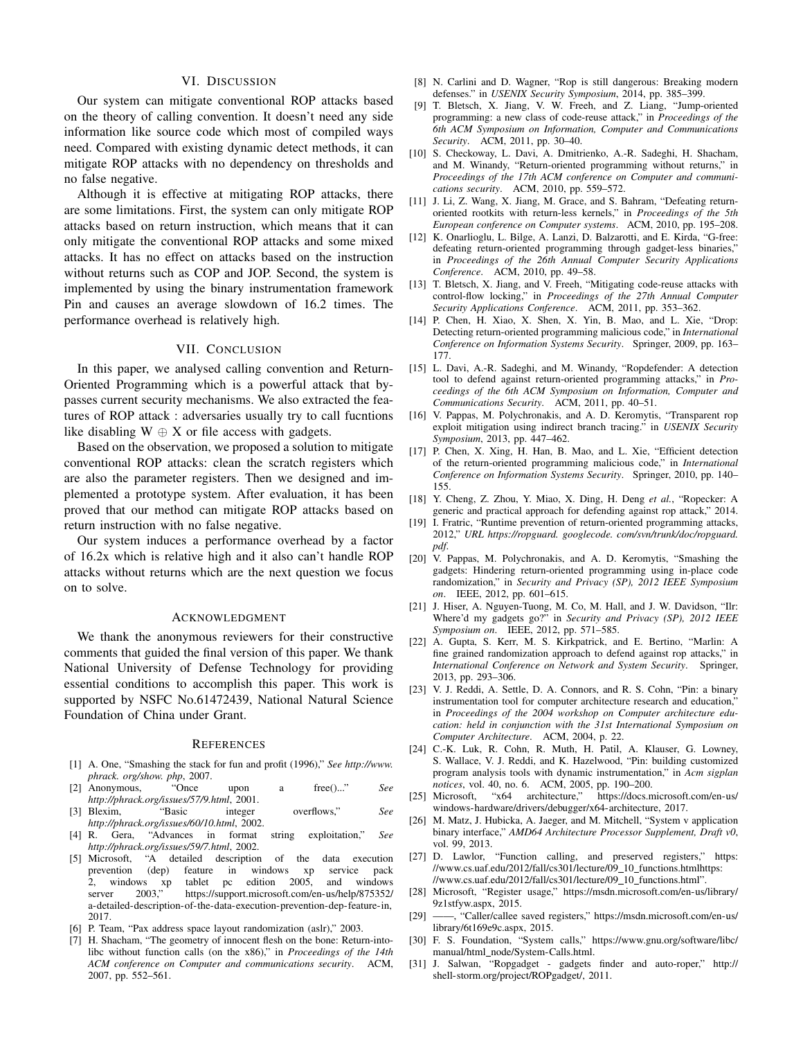## VI. DISCUSSION

Our system can mitigate conventional ROP attacks based on the theory of calling convention. It doesn't need any side information like source code which most of compiled ways need. Compared with existing dynamic detect methods, it can mitigate ROP attacks with no dependency on thresholds and no false negative.

Although it is effective at mitigating ROP attacks, there are some limitations. First, the system can only mitigate ROP attacks based on return instruction, which means that it can only mitigate the conventional ROP attacks and some mixed attacks. It has no effect on attacks based on the instruction without returns such as COP and JOP. Second, the system is implemented by using the binary instrumentation framework Pin and causes an average slowdown of 16.2 times. The performance overhead is relatively high.

#### VII. CONCLUSION

In this paper, we analysed calling convention and Return-Oriented Programming which is a powerful attack that bypasses current security mechanisms. We also extracted the features of ROP attack : adversaries usually try to call fucntions like disabling  $W \oplus X$  or file access with gadgets.

Based on the observation, we proposed a solution to mitigate conventional ROP attacks: clean the scratch registers which are also the parameter registers. Then we designed and implemented a prototype system. After evaluation, it has been proved that our method can mitigate ROP attacks based on return instruction with no false negative.

Our system induces a performance overhead by a factor of 16.2x which is relative high and it also can't handle ROP attacks without returns which are the next question we focus on to solve.

#### ACKNOWLEDGMENT

We thank the anonymous reviewers for their constructive comments that guided the final version of this paper. We thank National University of Defense Technology for providing essential conditions to accomplish this paper. This work is supported by NSFC No.61472439, National Natural Science Foundation of China under Grant.

#### **REFERENCES**

- [1] A. One, "Smashing the stack for fun and profit (1996)," *See http://www. phrack. org/show. php*, 2007.
- [2] Anonymous, "Once upon a free()..." *See http://phrack.org/issues/57/9.html*, 2001.
- [3] Blexim, "Basic integer overflows," *See http://phrack.org/issues/60/10.html*, 2002.
- [4] R. Gera, "Advances in format string exploitation," *See http://phrack.org/issues/59/7.html*, 2002.
- [5] Microsoft, "A detailed description of the data execution prevention (dep) feature in windows xp service pack<br>2, windows xp tablet pc edition 2005, and windows<br>server 2003," https://support.microsoft.com/en-us/help/875352/<br>a-detailed-deconitions 2, windows xp tablet pc edition 2005, and windows server 2003," https://support.microsoft.com/en-us/help/875352/ a-detailed-description-of-the-data-execution-prevention-dep-feature-in, 2017.
- [6] P. Team, "Pax address space layout randomization (aslr)," 2003.
- [7] H. Shacham, "The geometry of innocent flesh on the bone: Return-intolibc without function calls (on the x86)," in *Proceedings of the 14th ACM conference on Computer and communications security*. ACM, 2007, pp. 552–561.
- [8] N. Carlini and D. Wagner, "Rop is still dangerous: Breaking modern defenses." in *USENIX Security Symposium*, 2014, pp. 385–399.
- [9] T. Bletsch, X. Jiang, V. W. Freeh, and Z. Liang, "Jump-oriented programming: a new class of code-reuse attack," in *Proceedings of the 6th ACM Symposium on Information, Computer and Communications Security*. ACM, 2011, pp. 30–40.
- [10] S. Checkoway, L. Davi, A. Dmitrienko, A.-R. Sadeghi, H. Shacham, and M. Winandy, "Return-oriented programming without returns," in *Proceedings of the 17th ACM conference on Computer and communications security*. ACM, 2010, pp. 559–572.
- [11] J. Li, Z. Wang, X. Jiang, M. Grace, and S. Bahram, "Defeating returnoriented rootkits with return-less kernels," in *Proceedings of the 5th European conference on Computer systems*. ACM, 2010, pp. 195–208.
- [12] K. Onarlioglu, L. Bilge, A. Lanzi, D. Balzarotti, and E. Kirda, "G-free: defeating return-oriented programming through gadget-less binaries," in *Proceedings of the 26th Annual Computer Security Applications Conference*. ACM, 2010, pp. 49–58.
- [13] T. Bletsch, X. Jiang, and V. Freeh, "Mitigating code-reuse attacks with control-flow locking," in *Proceedings of the 27th Annual Computer Security Applications Conference*. ACM, 2011, pp. 353–362.
- [14] P. Chen, H. Xiao, X. Shen, X. Yin, B. Mao, and L. Xie, "Drop: Detecting return-oriented programming malicious code," in *International Conference on Information Systems Security*. Springer, 2009, pp. 163– 177.
- [15] L. Davi, A.-R. Sadeghi, and M. Winandy, "Ropdefender: A detection tool to defend against return-oriented programming attacks," in *Proceedings of the 6th ACM Symposium on Information, Computer and Communications Security*. ACM, 2011, pp. 40–51.
- [16] V. Pappas, M. Polychronakis, and A. D. Keromytis, "Transparent rop exploit mitigation using indirect branch tracing." in *USENIX Security Symposium*, 2013, pp. 447–462.
- [17] P. Chen, X. Xing, H. Han, B. Mao, and L. Xie, "Efficient detection of the return-oriented programming malicious code," in *International Conference on Information Systems Security*. Springer, 2010, pp. 140– 155.
- [18] Y. Cheng, Z. Zhou, Y. Miao, X. Ding, H. Deng *et al.*, "Ropecker: A generic and practical approach for defending against rop attack," 2014.
- [19] I. Fratric, "Runtime prevention of return-oriented programming attacks, 2012," *URL https://ropguard. googlecode. com/svn/trunk/doc/ropguard. pdf*.
- [20] V. Pappas, M. Polychronakis, and A. D. Keromytis, "Smashing the gadgets: Hindering return-oriented programming using in-place code randomization," in *Security and Privacy (SP), 2012 IEEE Symposium on*. IEEE, 2012, pp. 601–615.
- [21] J. Hiser, A. Nguyen-Tuong, M. Co, M. Hall, and J. W. Davidson, "Ilr: Where'd my gadgets go?" in *Security and Privacy (SP), 2012 IEEE Symposium on*. IEEE, 2012, pp. 571–585.
- [22] A. Gupta, S. Kerr, M. S. Kirkpatrick, and E. Bertino, "Marlin: A fine grained randomization approach to defend against rop attacks," in *International Conference on Network and System Security*. Springer, 2013, pp. 293–306.
- [23] V. J. Reddi, A. Settle, D. A. Connors, and R. S. Cohn, "Pin: a binary instrumentation tool for computer architecture research and education, in *Proceedings of the 2004 workshop on Computer architecture education: held in conjunction with the 31st International Symposium on Computer Architecture*. ACM, 2004, p. 22.
- [24] C.-K. Luk, R. Cohn, R. Muth, H. Patil, A. Klauser, G. Lowney, S. Wallace, V. J. Reddi, and K. Hazelwood, "Pin: building customized program analysis tools with dynamic instrumentation," in *Acm sigplan notices*, vol. 40, no. 6. ACM, 2005, pp. 190–200.
- [25] Microsoft, "x64 architecture," https://docs.microsoft.com/en-us/ windows-hardware/drivers/debugger/x64-architecture, 2017.
- [26] M. Matz, J. Hubicka, A. Jaeger, and M. Mitchell, "System v application binary interface," *AMD64 Architecture Processor Supplement, Draft v0*, vol. 99, 2013.
- [27] D. Lawlor, "Function calling, and preserved registers," https: //www.cs.uaf.edu/2012/fall/cs301/lecture/09\_10\_functions.htmlhttps: //www.cs.uaf.edu/2012/fall/cs301/lecture/09\_10\_functions.html".
- [28] Microsoft, "Register usage," https://msdn.microsoft.com/en-us/library/ 9z1stfyw.aspx, 2015.
- [29] ——, "Caller/callee saved registers," https://msdn.microsoft.com/en-us/ library/6t169e9c.aspx, 2015.
- [30] F. S. Foundation, "System calls," https://www.gnu.org/software/libc/ manual/html\_node/System-Calls.html.
- [31] J. Salwan, "Ropgadget gadgets finder and auto-roper," http:// shell-storm.org/project/ROPgadget/, 2011.